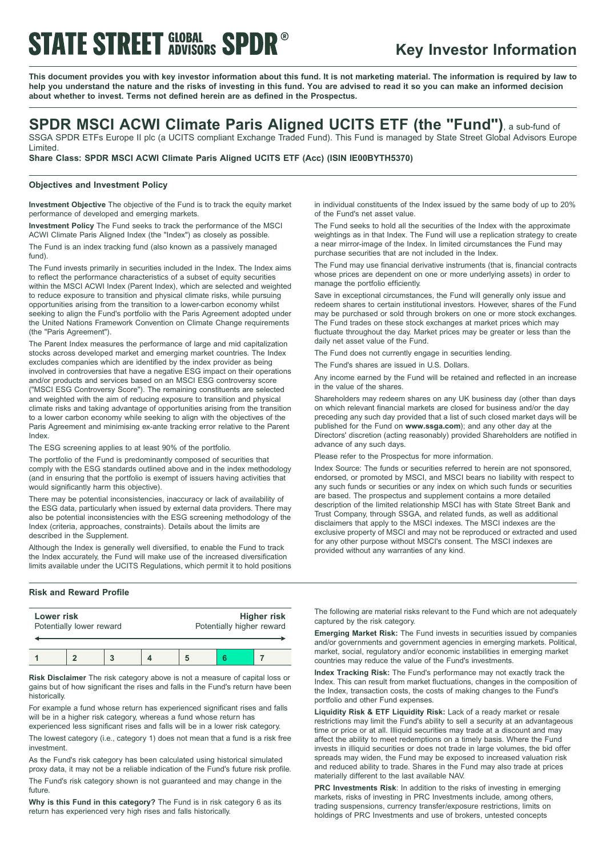# **STATE STREET GLOBAL SPDR®**

## **Key Investor Information**

This document provides you with key investor information about this fund. It is not marketing material. The information is required by law to help you understand the nature and the risks of investing in this fund. You are advised to read it so you can make an informed decision **about whether to invest. Terms not defined herein are as defined in the Prospectus.**

## **SPDR MSCI ACWI Climate Paris Aligned UCITS ETF (the "Fund")**, <sup>a</sup> sub-fund of

SSGA SPDR ETFs Europe II plc (a UCITS compliant Exchange Traded Fund). This Fund is managed by State Street Global Advisors Europe Limited.

**Share Class: SPDR MSCI ACWI Climate Paris Aligned UCITS ETF (Acc) (ISIN IE00BYTH5370)**

### **Objectives and Investment Policy**

**Investment Objective** The objective of the Fund is to track the equity market performance of developed and emerging markets.

**Investment Policy** The Fund seeks to track the performance of the MSCI ACWI Climate Paris Aligned Index (the "Index") as closely as possible.

The Fund is an index tracking fund (also known as a passively managed fund).

The Fund invests primarily in securities included in the Index. The Index aims to reflect the performance characteristics of a subset of equity securities within the MSCI ACWI Index (Parent Index), which are selected and weighted to reduce exposure to transition and physical climate risks, while pursuing opportunities arising from the transition to a lower-carbon economy whilst seeking to align the Fund's portfolio with the Paris Agreement adopted under the United Nations Framework Convention on Climate Change requirements (the "Paris Agreement").

The Parent Index measures the performance of large and mid capitalization stocks across developed market and emerging market countries. The Index excludes companies which are identified by the index provider as being involved in controversies that have a negative ESG impact on their operations and/or products and services based on an MSCI ESG controversy score ("MSCI ESG Controversy Score"). The remaining constituents are selected and weighted with the aim of reducing exposure to transition and physical climate risks and taking advantage of opportunities arising from the transition to a lower carbon economy while seeking to align with the objectives of the Paris Agreement and minimising ex-ante tracking error relative to the Parent Index.

The ESG screening applies to at least 90% of the portfolio.

The portfolio of the Fund is predominantly composed of securities that comply with the ESG standards outlined above and in the index methodology (and in ensuring that the portfolio is exempt of issuers having activities that would significantly harm this objective).

There may be potential inconsistencies, inaccuracy or lack of availability of the ESG data, particularly when issued by external data providers. There may also be potential inconsistencies with the ESG screening methodology of the Index (criteria, approaches, constraints). Details about the limits are described in the Supplement.

Although the Index is generally well diversified, to enable the Fund to track the Index accurately, the Fund will make use of the increased diversification limits available under the UCITS Regulations, which permit it to hold positions

### **Risk and Reward Profile**

| Lower risk               |  |  |  | Higher risk               |  |  |
|--------------------------|--|--|--|---------------------------|--|--|
| Potentially lower reward |  |  |  | Potentially higher reward |  |  |
|                          |  |  |  |                           |  |  |

**Risk Disclaimer** The risk category above is not a measure of capital loss or gains but of how significant the rises and falls in the Fund's return have been historically.

For example a fund whose return has experienced significant rises and falls will be in a higher risk category, whereas a fund whose return has experienced less significant rises and falls will be in a lower risk category.

The lowest category (i.e., category 1) does not mean that a fund is a risk free investment.

As the Fund's risk category has been calculated using historical simulated proxy data, it may not be a reliable indication of the Fund's future risk profile.

The Fund's risk category shown is not guaranteed and may change in the future

**Why is this Fund in this category?** The Fund is in risk category 6 as its return has experienced very high rises and falls historically.

in individual constituents of the Index issued by the same body of up to 20% of the Fund's net asset value.

The Fund seeks to hold all the securities of the Index with the approximate weightings as in that Index. The Fund will use a replication strategy to create a near mirror-image of the Index. In limited circumstances the Fund may purchase securities that are not included in the Index.

The Fund may use financial derivative instruments (that is, financial contracts whose prices are dependent on one or more underlying assets) in order to manage the portfolio efficiently.

Save in exceptional circumstances, the Fund will generally only issue and redeem shares to certain institutional investors. However, shares of the Fund may be purchased or sold through brokers on one or more stock exchanges. The Fund trades on these stock exchanges at market prices which may fluctuate throughout the day. Market prices may be greater or less than the daily net asset value of the Fund.

The Fund does not currently engage in securities lending.

The Fund's shares are issued in U.S. Dollars.

Any income earned by the Fund will be retained and reflected in an increase in the value of the shares.

Shareholders may redeem shares on any UK business day (other than days on which relevant financial markets are closed for business and/or the day preceding any such day provided that a list of such closed market days will be published for the Fund on **www.ssga.com**); and any other day at the Directors' discretion (acting reasonably) provided Shareholders are notified in advance of any such days.

Please refer to the Prospectus for more information.

Index Source: The funds or securities referred to herein are not sponsored, endorsed, or promoted by MSCI, and MSCI bears no liability with respect to any such funds or securities or any index on which such funds or securities are based. The prospectus and supplement contains a more detailed description of the limited relationship MSCI has with State Street Bank and Trust Company, through SSGA, and related funds, as well as additional disclaimers that apply to the MSCI indexes. The MSCI indexes are the exclusive property of MSCI and may not be reproduced or extracted and used for any other purpose without MSCI's consent. The MSCI indexes are provided without any warranties of any kind.

The following are material risks relevant to the Fund which are not adequately captured by the risk category.

**Emerging Market Risk:** The Fund invests in securities issued by companies and/or governments and government agencies in emerging markets. Political, market, social, regulatory and/or economic instabilities in emerging market countries may reduce the value of the Fund's investments.

**Index Tracking Risk:** The Fund's performance may not exactly track the Index. This can result from market fluctuations, changes in the composition of the Index, transaction costs, the costs of making changes to the Fund's portfolio and other Fund expenses.

**Liquidity Risk & ETF Liquidity Risk:** Lack of a ready market or resale restrictions may limit the Fund's ability to sell a security at an advantageous time or price or at all. Illiquid securities may trade at a discount and may affect the ability to meet redemptions on a timely basis. Where the Fund invests in illiquid securities or does not trade in large volumes, the bid offer spreads may widen, the Fund may be exposed to increased valuation risk and reduced ability to trade. Shares in the Fund may also trade at prices materially different to the last available NAV.

**PRC Investments Risk**: In addition to the risks of investing in emerging markets, risks of investing in PRC Investments include, among others, trading suspensions, currency transfer/exposure restrictions, limits on holdings of PRC Investments and use of brokers, untested concepts